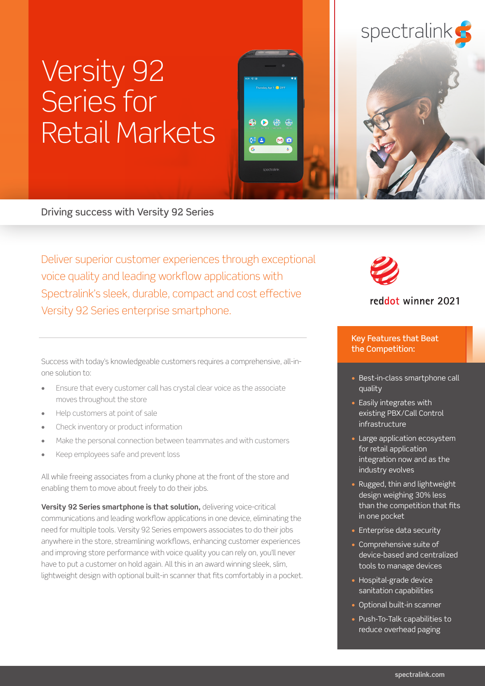## spectralink

# Versity 92 Series for Retail Markets

Driving success with Versity 92 Series

Deliver superior customer experiences through exceptional voice quality and leading workflow applications with Spectralink's sleek, durable, compact and cost effective Versity 92 Series enterprise smartphone.

 $\Omega$   $\Omega$   $\Omega$   $\Omega$ 

MO

#### reddot winner 2021

Key Features that Beat the Competition:

- Best-in-class smartphone call quality
- Easily integrates with existing PBX/Call Control infrastructure
- Large application ecosystem for retail application integration now and as the industry evolves
- Rugged, thin and lightweight design weighing 30% less than the competition that fits in one pocket
- Enterprise data security
- Comprehensive suite of device-based and centralized tools to manage devices
- Hospital-grade device sanitation capabilities
- Optional built-in scanner
- Push-To-Talk capabilities to reduce overhead paging

Success with today's knowledgeable customers requires a comprehensive, all-inone solution to:

- **•** Ensure that every customer call has crystal clear voice as the associate moves throughout the store
- **•** Help customers at point of sale
- **•** Check inventory or product information
- **•** Make the personal connection between teammates and with customers
- **•** Keep employees safe and prevent loss

All while freeing associates from a clunky phone at the front of the store and enabling them to move about freely to do their jobs.

**Versity 92 Series smartphone is that solution, delivering voice-critical** communications and leading workflow applications in one device, eliminating the need for multiple tools. Versity 92 Series empowers associates to do their jobs anywhere in the store, streamlining workflows, enhancing customer experiences and improving store performance with voice quality you can rely on, you'll never have to put a customer on hold again. All this in an award winning sleek, slim, lightweight design with optional built-in scanner that fits comfortably in a pocket.